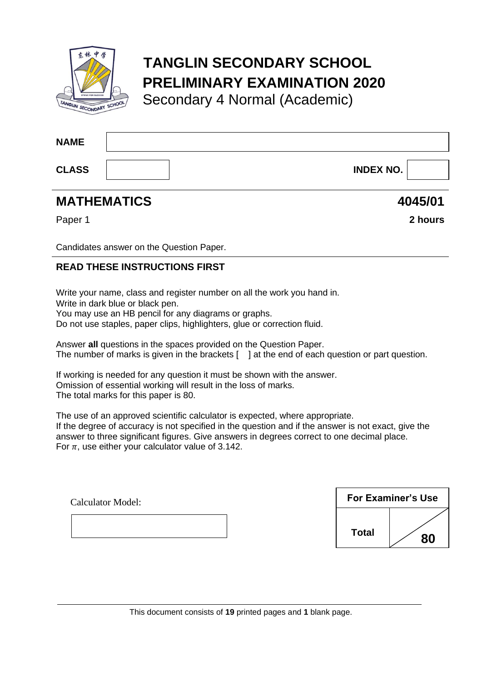

# **TANGLIN SECONDARY SCHOOL PRELIMINARY EXAMINATION 2020**

Secondary 4 Normal (Academic)

| <b>NAME</b>  |                  |  |
|--------------|------------------|--|
| <b>CLASS</b> | <b>INDEX NO.</b> |  |

# **MATHEMATICS 4045/01**

Paper 1 **2 hours**

Candidates answer on the Question Paper.

## **READ THESE INSTRUCTIONS FIRST**

Write your name, class and register number on all the work you hand in. Write in dark blue or black pen.

You may use an HB pencil for any diagrams or graphs.

Do not use staples, paper clips, highlighters, glue or correction fluid.

Answer **all** questions in the spaces provided on the Question Paper. The number of marks is given in the brackets  $\lceil \ \ \rceil$  at the end of each question or part question.

If working is needed for any question it must be shown with the answer. Omission of essential working will result in the loss of marks. The total marks for this paper is 80.

The use of an approved scientific calculator is expected, where appropriate. If the degree of accuracy is not specified in the question and if the answer is not exact, give the answer to three significant figures. Give answers in degrees correct to one decimal place. For  $\pi$ , use either your calculator value of 3.142.

| <b>Calculator Model:</b> | <b>For Examiner's Use</b> |              |    |
|--------------------------|---------------------------|--------------|----|
|                          |                           | <b>Total</b> | 80 |

This document consists of **19** printed pages and **1** blank page.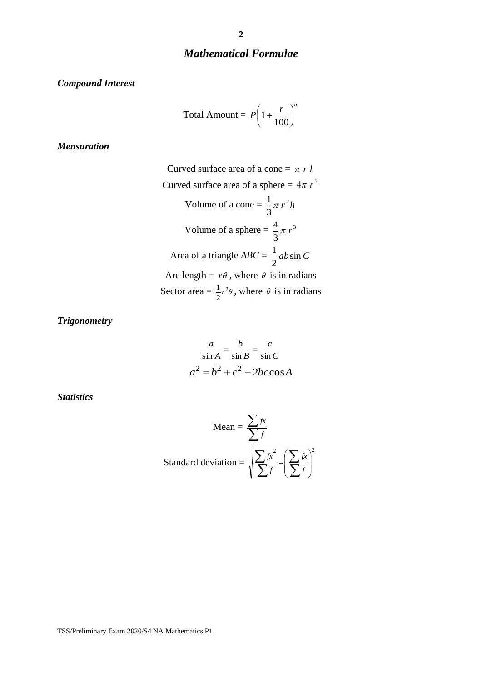#### *Mathematical Formulae*

*Compound Interest*

Total Amount = 
$$
P\left(1 + \frac{r}{100}\right)^n
$$

*Mensuration*

Curved surface area of a cone  $= \pi r l$ Curved surface area of a sphere  $= 4\pi r^2$ Volume of a cone =  $\frac{1}{2} \pi r^2 h$ 3  $\frac{1}{-\pi}$ Volume of a sphere  $=\frac{1}{2}\pi r^3$ 3  $\frac{4}{3}\pi r$ Area of a triangle  $ABC = \frac{1}{2}ab\sin C$ 2 1 Arc length =  $r\theta$ , where  $\theta$  is in radians Sector area =  $\frac{1}{2}r^2\theta$ 2  $\frac{1}{2}r^2\theta$ , where  $\theta$  is in radians

*Trigonometry*

$$
\frac{a}{\sin A} = \frac{b}{\sin B} = \frac{c}{\sin C}
$$

$$
a^2 = b^2 + c^2 - 2bc \cos A
$$

*Statistics*

Mean = 
$$
\frac{\sum f}{\sum f}
$$
  
Standard deviation = 
$$
\sqrt{\frac{\sum f x^2}{\sum f} - (\frac{\sum f x}{\sum f})^2}
$$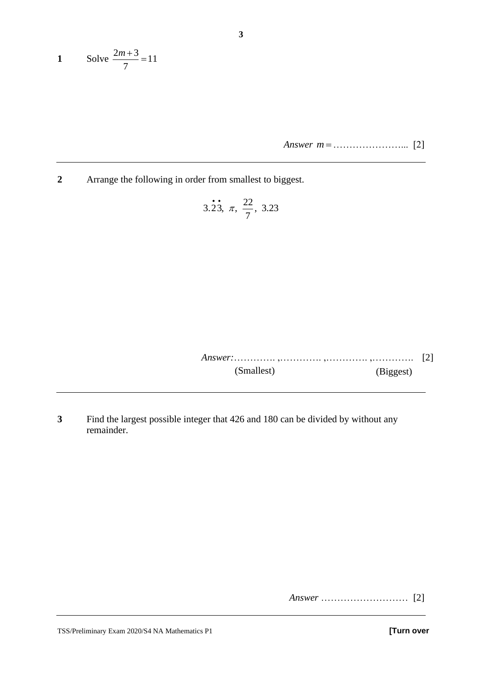1 Solve 
$$
\frac{2m+3}{7} = 11
$$

*Answer m* = …………………... [2]

**2** Arrange the following in order from smallest to biggest.

3.23, 
$$
\pi
$$
,  $\frac{22}{7}$ , 3.23

*Answer:*…………. ,…………. ,…………. ,…………. [2] (Smallest) (Biggest)

**3** Find the largest possible integer that 426 and 180 can be divided by without any remainder.

*Answer* ……………………… [2]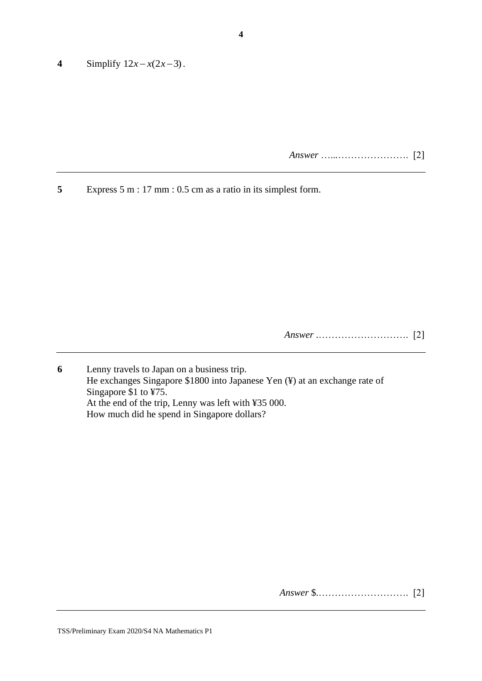**4** Simplify  $12x - x(2x-3)$ .

*Answer* …..*.*…………………. [2]

**5** Express 5 m : 17 mm : 0.5 cm as a ratio in its simplest form.

*Answer* .………………………. [2]

**6** Lenny travels to Japan on a business trip. He exchanges Singapore \$1800 into Japanese Yen (¥) at an exchange rate of Singapore \$1 to ¥75. At the end of the trip, Lenny was left with ¥35 000. How much did he spend in Singapore dollars?

*Answer* \$.………………………. [2]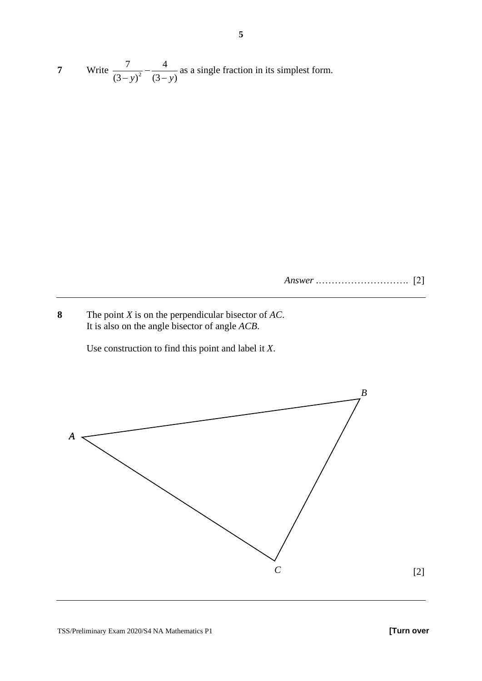**7** Write  $\frac{1}{(3-y)^2}$ 7 4  $\frac{1}{(3-y)^2} - \frac{1}{(3-y)}$  as a single fraction in its simplest form.

*Answer* .………………………. [2]

**8** The point *X* is on the perpendicular bisector of *AC*. It is also on the angle bisector of angle *ACB*.

Use construction to find this point and label it *X*.

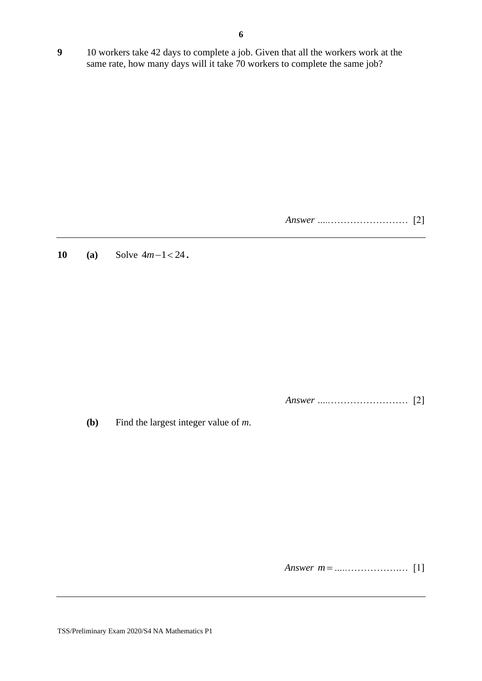**9** 10 workers take 42 days to complete a job. Given that all the workers work at the same rate, how many days will it take 70 workers to complete the same job?

*Answer …..*…………………… [2]

**10 (a)** Solve  $4m-1 < 24$ .

*Answer …..*…………………… [2]

**(b)** Find the largest integer value of *m*.

*Answer m* = *…..*…………….… [1]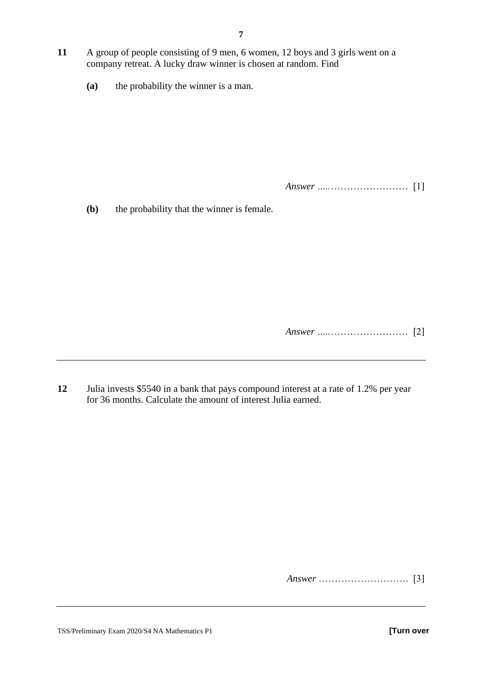- **11** A group of people consisting of 9 men, 6 women, 12 boys and 3 girls went on a company retreat. A lucky draw winner is chosen at random. Find
	- **(a)** the probability the winner is a man.

*Answer …..*…………………… [1]

**(b)** the probability that the winner is female.

*Answer …..*…………………… [2]

**12** Julia invests \$5540 in a bank that pays compound interest at a rate of 1.2% per year for 36 months. Calculate the amount of interest Julia earned.

*Answer* ………………………. [3]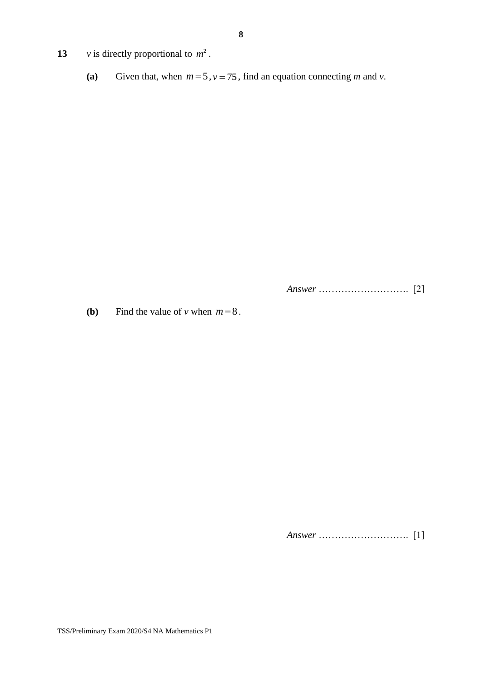- **13** *v* is directly proportional to  $m^2$ .
	- (a) Given that, when  $m = 5$ ,  $v = 75$ , find an equation connecting *m* and *v*.

*Answer* ………………………. [2]

**(b)** Find the value of *v* when  $m = 8$ .

*Answer* ………………………. [1]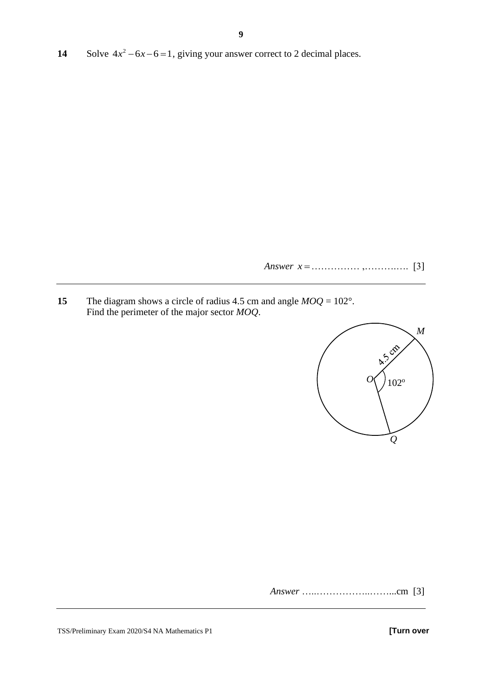14 Solve  $4x^2 - 6x - 6 = 1$ , giving your answer correct to 2 decimal places.

*Answer x* = …………… ,……….…. [3]

**15** The diagram shows a circle of radius 4.5 cm and angle *MOQ* = 102°. Find the perimeter of the major sector *MOQ*.



*Answer* …..……………..……...cm [3]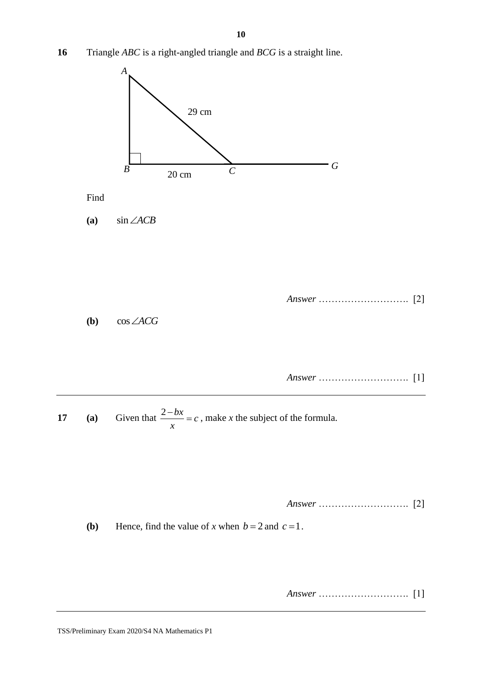**16** Triangle *ABC* is a right-angled triangle and *BCG* is a straight line.



TSS/Preliminary Exam 2020/S4 NA Mathematics P1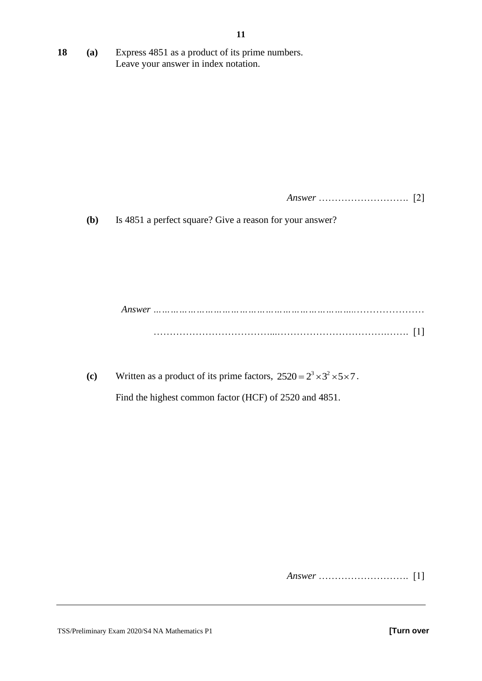**18 (a)** Express 4851 as a product of its prime numbers. Leave your answer in index notation.

*Answer* ………………………. [2]

**(b)** Is 4851 a perfect square? Give a reason for your answer?

*Answer ……………………………………………………………..*………………… ………………………………...…………………………….……. [1]

(c) Written as a product of its prime factors,  $2520 = 2^3 \times 3^2 \times 5 \times 7$ .

Find the highest common factor (HCF) of 2520 and 4851.

*Answer* ………………………. [1]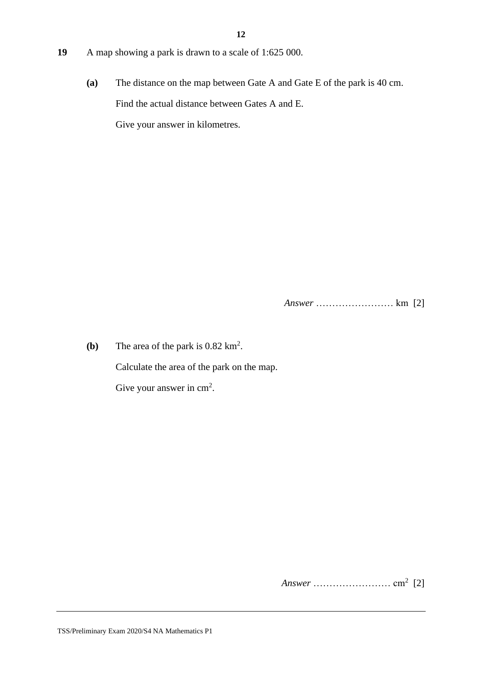- **19** A map showing a park is drawn to a scale of 1:625 000.
	- **(a)** The distance on the map between Gate A and Gate E of the park is 40 cm. Find the actual distance between Gates A and E. Give your answer in kilometres.

*Answer* …………………… km [2]

**(b)** The area of the park is  $0.82 \text{ km}^2$ . Calculate the area of the park on the map. Give your answer in  $cm<sup>2</sup>$ .

*Answer* …………………… cm<sup>2</sup> [2]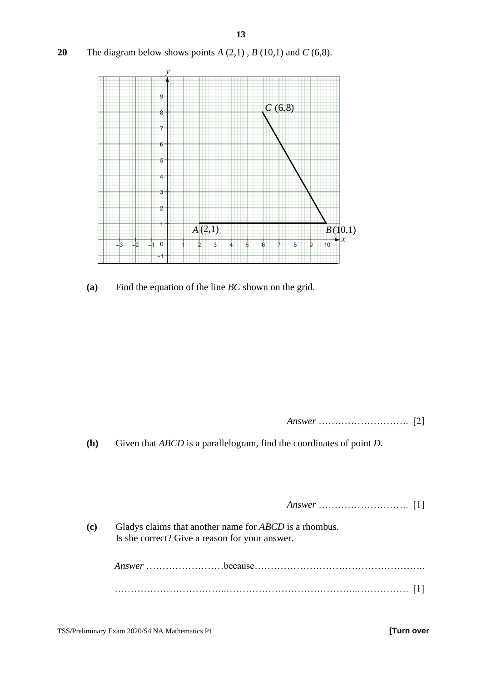**20** The diagram below shows points  $A(2,1)$ ,  $B(10,1)$  and  $C(6,8)$ .



**(a)** Find the equation of the line *BC* shown on the grid.

*Answer* ………………………. [2]

**(b)** Given that *ABCD* is a parallelogram, find the coordinates of point *D*.

*Answer* ………………………. [1]

**(c)** Gladys claims that another name for *ABCD* is a rhombus. Is she correct? Give a reason for your answer.

> *Answer* ……………………because…………………………………………….. ……………………………..…………………………………..……………. [1]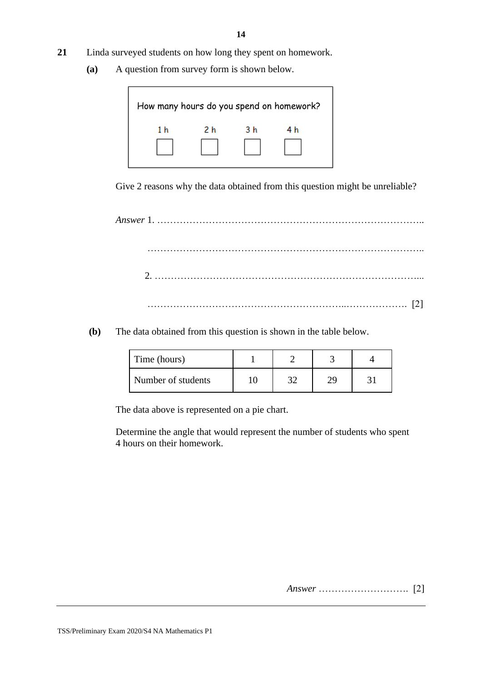- **21** Linda surveyed students on how long they spent on homework.
	- **(a)** A question from survey form is shown below.



Give 2 reasons why the data obtained from this question might be unreliable?

*Answer* 1. ……………………………………………………………………….. ………………………………………………………………………….. 2. ………………………………………………………………………... ……………………………………………………..………………. [2]

**(b)** The data obtained from this question is shown in the table below.

| Time (hours)       |   |  |
|--------------------|---|--|
| Number of students | ົ |  |

The data above is represented on a pie chart.

Determine the angle that would represent the number of students who spent 4 hours on their homework.

 *Answer* ………………………. [2]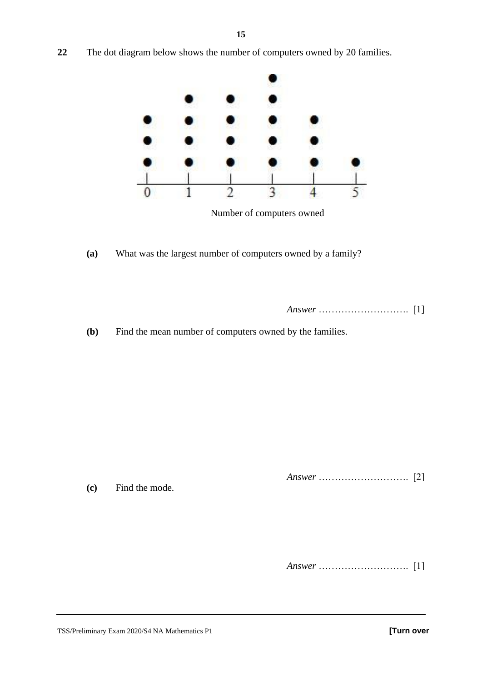- - Number of computers owned
	- **(a)** What was the largest number of computers owned by a family?

 *Answer* ………………………. [1]

**(b)** Find the mean number of computers owned by the families.

 *Answer* ………………………. [2]

**(c)** Find the mode.

 *Answer* ………………………. [1]

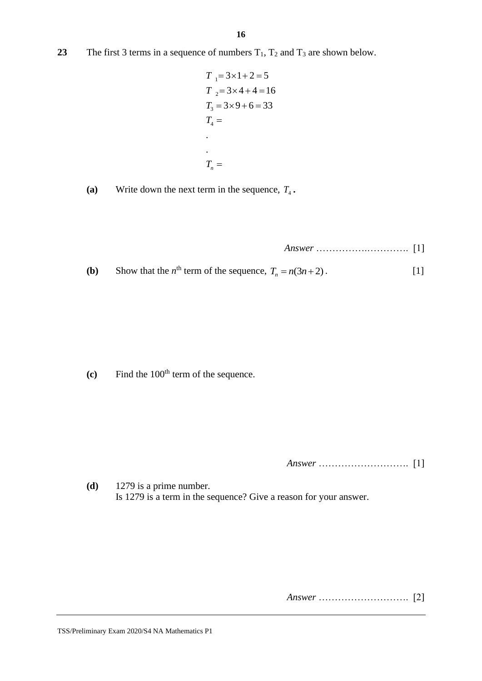**23** The first 3 terms in a sequence of numbers  $T_1$ ,  $T_2$  and  $T_3$  are shown below.

$$
T_1 = 3 \times 1 + 2 = 5
$$
  
\n
$$
T_2 = 3 \times 4 + 4 = 16
$$
  
\n
$$
T_3 = 3 \times 9 + 6 = 33
$$
  
\n
$$
T_4 =
$$
  
\n
$$
\vdots
$$
  
\n
$$
T_n =
$$

(a) Write down the next term in the sequence,  $T_4$ .

**(b)** Sho  $= n(3n+2)$ . [1]

**(c)** Find the 100<sup>th</sup> term of the sequence.

 *Answer* ………………………. [1]

**(d)** 1279 is a prime number. Is 1279 is a term in the sequence? Give a reason for your answer.

 *Answer* ………………………. [2]

 *Answer* …………….…………. [1]

Now that the 
$$
n^{\text{th}}
$$
 term of the sequence,  $T_n = n(3n + 2)$ .

$$
\mathbf{r} = 1278
$$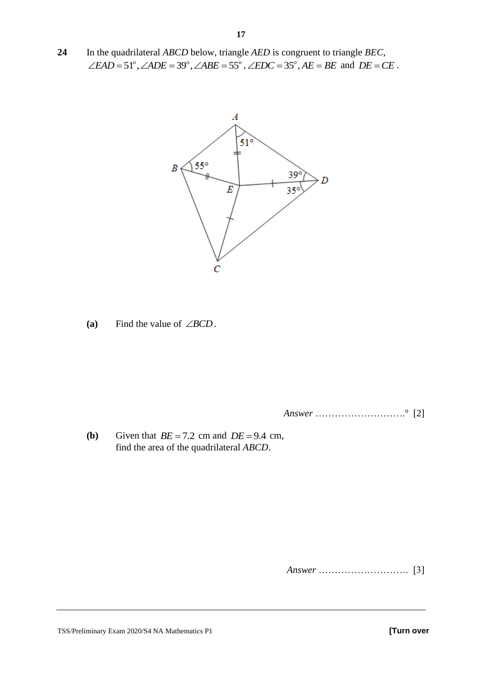**24** In the quadrilateral *ABCD* below, triangle *AED* is congruent to triangle *BEC*, In the quadrilateral *ABCD* below, triangle *AED* is congruent to triangle *BEC*,<br>  $\angle EAD = 51^\circ$ ,  $\angle ADE = 39^\circ$ ,  $\angle ABE = 55^\circ$ ,  $\angle EDC = 35^\circ$ ,  $AE = BE$  and  $DE = CE$ .



(a) Find the value of  $\angle BCD$ .

*Answer* ………………………. o [2]

**(b)** Given that  $BE = 7.2$  cm and  $DE = 9.4$  cm, find the area of the quadrilateral *ABCD*.

 *Answer* ………………………. [3]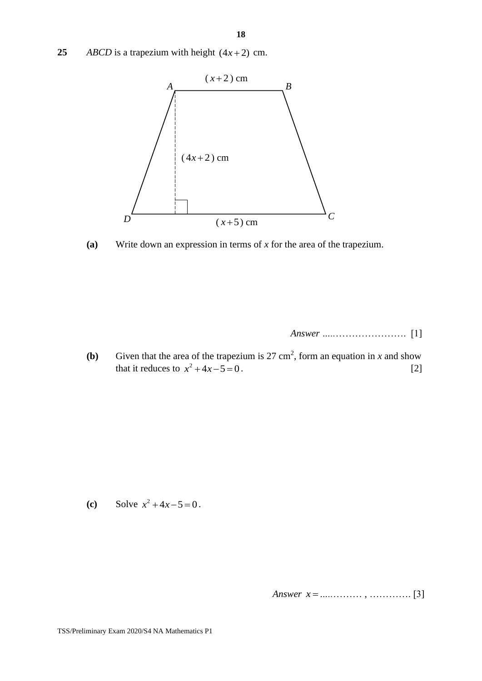25 *ABCD* is a trapezium with height  $(4x+2)$  cm.



**(a)** Write down an expression in terms of *x* for the area of the trapezium.

*Answer …..*…………………. [1]

**(b)** Given that the area of the trapezium is 27 cm<sup>2</sup>, form an equation in *x* and show that it reduces to  $x^2 + 4x - 5 = 0$ . [2]

(c) Solve  $x^2 + 4x - 5 = 0$ .

*Answer x* =*…..*……… , …………. [3]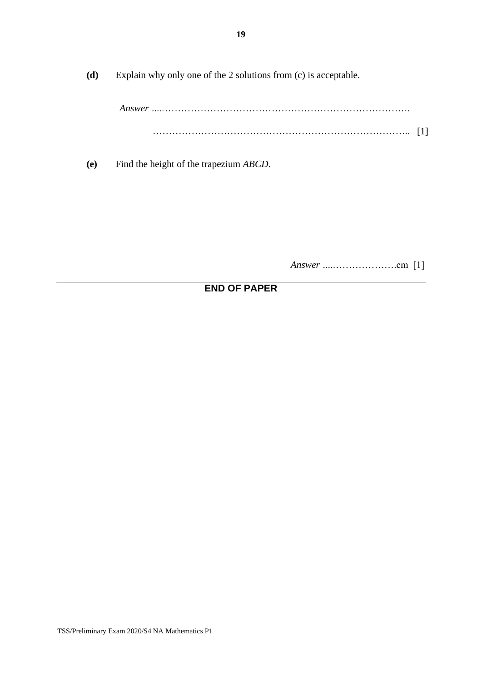**(d)** Explain why only one of the 2 solutions from (c) is acceptable.

*Answer …..*…………………………………………………………………. …………………………………………………………………….. [1]

**(e)** Find the height of the trapezium *ABCD*.

*Answer …..*……………….cm [1]

## **END OF PAPER**